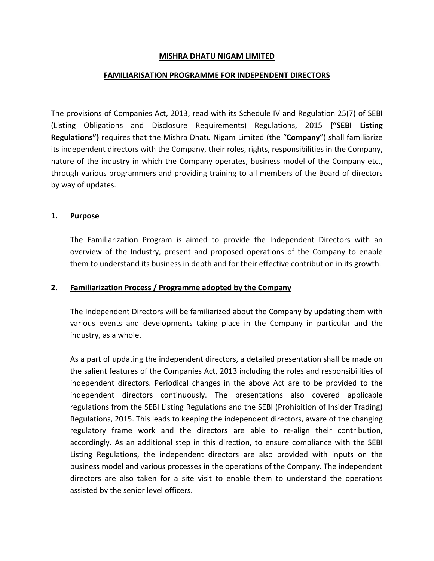## **MISHRA DHATU NIGAM LIMITED**

### **FAMILIARISATION PROGRAMME FOR INDEPENDENT DIRECTORS**

The provisions of Companies Act, 2013, read with its Schedule IV and Regulation 25(7) of SEBI (Listing Obligations and Disclosure Requirements) Regulations, 2015 **("SEBI Listing Regulations")** requires that the Mishra Dhatu Nigam Limited (the "**Company**") shall familiarize its independent directors with the Company, their roles, rights, responsibilities in the Company, nature of the industry in which the Company operates, business model of the Company etc., through various programmers and providing training to all members of the Board of directors by way of updates.

### **1. Purpose**

The Familiarization Program is aimed to provide the Independent Directors with an overview of the Industry, present and proposed operations of the Company to enable them to understand its business in depth and for their effective contribution in its growth.

#### **2. Familiarization Process / Programme adopted by the Company**

The Independent Directors will be familiarized about the Company by updating them with various events and developments taking place in the Company in particular and the industry, as a whole.

As a part of updating the independent directors, a detailed presentation shall be made on the salient features of the Companies Act, 2013 including the roles and responsibilities of independent directors. Periodical changes in the above Act are to be provided to the independent directors continuously. The presentations also covered applicable regulations from the SEBI Listing Regulations and the SEBI (Prohibition of Insider Trading) Regulations, 2015. This leads to keeping the independent directors, aware of the changing regulatory frame work and the directors are able to re-align their contribution, accordingly. As an additional step in this direction, to ensure compliance with the SEBI Listing Regulations, the independent directors are also provided with inputs on the business model and various processes in the operations of the Company. The independent directors are also taken for a site visit to enable them to understand the operations assisted by the senior level officers.